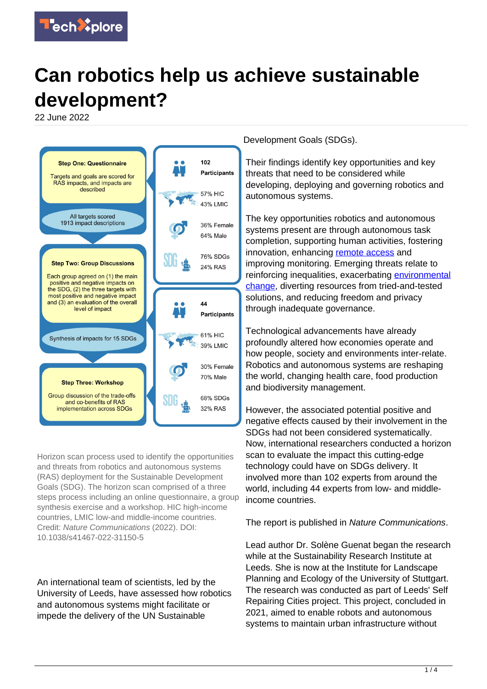

# **Can robotics help us achieve sustainable development?**

22 June 2022



Horizon scan process used to identify the opportunities and threats from robotics and autonomous systems (RAS) deployment for the Sustainable Development Goals (SDG). The horizon scan comprised of a three steps process including an online questionnaire, a group synthesis exercise and a workshop. HIC high-income countries, LMIC low-and middle-income countries. Credit: Nature Communications (2022). DOI: 10.1038/s41467-022-31150-5

An international team of scientists, led by the University of Leeds, have assessed how robotics and autonomous systems might facilitate or impede the delivery of the UN Sustainable

Development Goals (SDGs).

Their findings identify key opportunities and key threats that need to be considered while developing, deploying and governing robotics and autonomous systems.

The key opportunities robotics and autonomous systems present are through autonomous task completion, supporting human activities, fostering innovation, enhancing [remote access](https://techxplore.com/tags/remote+access/) and improving monitoring. Emerging threats relate to reinforcing inequalities, exacerbating [environmental](https://techxplore.com/tags/environmental+change/) [change,](https://techxplore.com/tags/environmental+change/) diverting resources from tried-and-tested solutions, and reducing freedom and privacy through inadequate governance.

Technological advancements have already profoundly altered how economies operate and how people, society and environments inter-relate. Robotics and autonomous systems are reshaping the world, changing health care, food production and biodiversity management.

However, the associated potential positive and negative effects caused by their involvement in the SDGs had not been considered systematically. Now, international researchers conducted a horizon scan to evaluate the impact this cutting-edge technology could have on SDGs delivery. It involved more than 102 experts from around the world, including 44 experts from low- and middleincome countries.

### The report is published in Nature Communications.

Lead author Dr. Solène Guenat began the research while at the Sustainability Research Institute at Leeds. She is now at the Institute for Landscape Planning and Ecology of the University of Stuttgart. The research was conducted as part of Leeds' Self Repairing Cities project. This project, concluded in 2021, aimed to enable robots and autonomous systems to maintain urban infrastructure without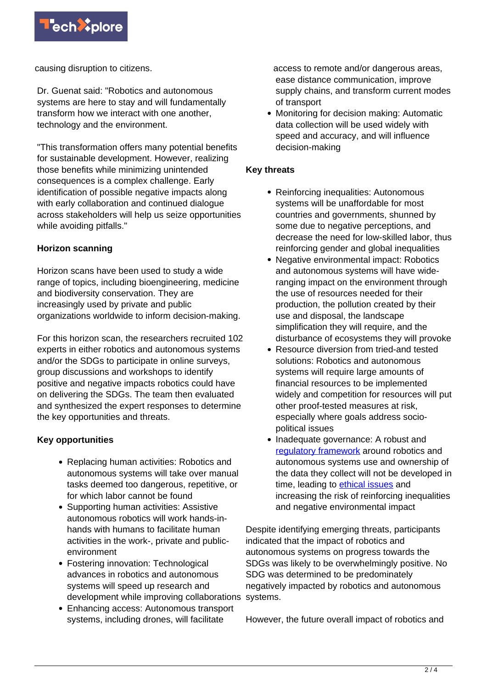

causing disruption to citizens.

Dr. Guenat said: "Robotics and autonomous systems are here to stay and will fundamentally transform how we interact with one another, technology and the environment.

"This transformation offers many potential benefits for sustainable development. However, realizing those benefits while minimizing unintended consequences is a complex challenge. Early identification of possible negative impacts along with early collaboration and continued dialogue across stakeholders will help us seize opportunities while avoiding pitfalls."

## **Horizon scanning**

Horizon scans have been used to study a wide range of topics, including bioengineering, medicine and biodiversity conservation. They are increasingly used by private and public organizations worldwide to inform decision-making.

For this horizon scan, the researchers recruited 102 experts in either robotics and autonomous systems and/or the SDGs to participate in online surveys, group discussions and workshops to identify positive and negative impacts robotics could have on delivering the SDGs. The team then evaluated and synthesized the expert responses to determine the key opportunities and threats.

# **Key opportunities**

- Replacing human activities: Robotics and autonomous systems will take over manual tasks deemed too dangerous, repetitive, or for which labor cannot be found
- Supporting human activities: Assistive autonomous robotics will work hands-inhands with humans to facilitate human activities in the work-, private and publicenvironment
- Fostering innovation: Technological advances in robotics and autonomous systems will speed up research and development while improving collaborations systems.
- Enhancing access: Autonomous transport systems, including drones, will facilitate

access to remote and/or dangerous areas, ease distance communication, improve supply chains, and transform current modes of transport

• Monitoring for decision making: Automatic data collection will be used widely with speed and accuracy, and will influence decision-making

## **Key threats**

- Reinforcing inequalities: Autonomous systems will be unaffordable for most countries and governments, shunned by some due to negative perceptions, and decrease the need for low-skilled labor, thus reinforcing gender and global inequalities
- Negative environmental impact: Robotics and autonomous systems will have wideranging impact on the environment through the use of resources needed for their production, the pollution created by their use and disposal, the landscape simplification they will require, and the disturbance of ecosystems they will provoke
- Resource diversion from tried-and tested solutions: Robotics and autonomous systems will require large amounts of financial resources to be implemented widely and competition for resources will put other proof-tested measures at risk, especially where goals address sociopolitical issues
- Inadequate governance: A robust and [regulatory framework](https://techxplore.com/tags/regulatory+framework/) around robotics and autonomous systems use and ownership of the data they collect will not be developed in time, leading to [ethical issues](https://techxplore.com/tags/ethical+issues/) and increasing the risk of reinforcing inequalities and negative environmental impact

Despite identifying emerging threats, participants indicated that the impact of robotics and autonomous systems on progress towards the SDGs was likely to be overwhelmingly positive. No SDG was determined to be predominately negatively impacted by robotics and autonomous

However, the future overall impact of robotics and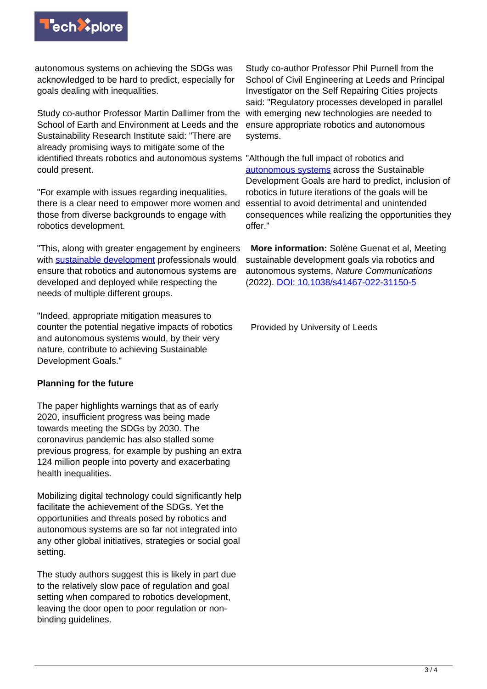

autonomous systems on achieving the SDGs was acknowledged to be hard to predict, especially for goals dealing with inequalities.

Study co-author Professor Martin Dallimer from the School of Earth and Environment at Leeds and the Sustainability Research Institute said: "There are already promising ways to mitigate some of the identified threats robotics and autonomous systems "Although the full impact of robotics and could present.

"For example with issues regarding inequalities, there is a clear need to empower more women and those from diverse backgrounds to engage with robotics development.

"This, along with greater engagement by engineers with [sustainable development](https://techxplore.com/tags/sustainable+development/) professionals would ensure that robotics and autonomous systems are developed and deployed while respecting the needs of multiple different groups.

"Indeed, appropriate mitigation measures to counter the potential negative impacts of robotics and autonomous systems would, by their very nature, contribute to achieving Sustainable Development Goals."

### **Planning for the future**

The paper highlights warnings that as of early 2020, insufficient progress was being made towards meeting the SDGs by 2030. The coronavirus pandemic has also stalled some previous progress, for example by pushing an extra 124 million people into poverty and exacerbating health inequalities.

Mobilizing digital technology could significantly help facilitate the achievement of the SDGs. Yet the opportunities and threats posed by robotics and autonomous systems are so far not integrated into any other global initiatives, strategies or social goal setting.

The study authors suggest this is likely in part due to the relatively slow pace of regulation and goal setting when compared to robotics development, leaving the door open to poor regulation or nonbinding guidelines.

Study co-author Professor Phil Purnell from the School of Civil Engineering at Leeds and Principal Investigator on the Self Repairing Cities projects said: "Regulatory processes developed in parallel with emerging new technologies are needed to ensure appropriate robotics and autonomous systems.

[autonomous systems](https://techxplore.com/tags/autonomous+systems/) across the Sustainable Development Goals are hard to predict, inclusion of robotics in future iterations of the goals will be essential to avoid detrimental and unintended consequences while realizing the opportunities they offer."

 **More information:** Solène Guenat et al, Meeting sustainable development goals via robotics and autonomous systems, Nature Communications (2022). [DOI: 10.1038/s41467-022-31150-5](https://dx.doi.org/10.1038/s41467-022-31150-5)

Provided by University of Leeds